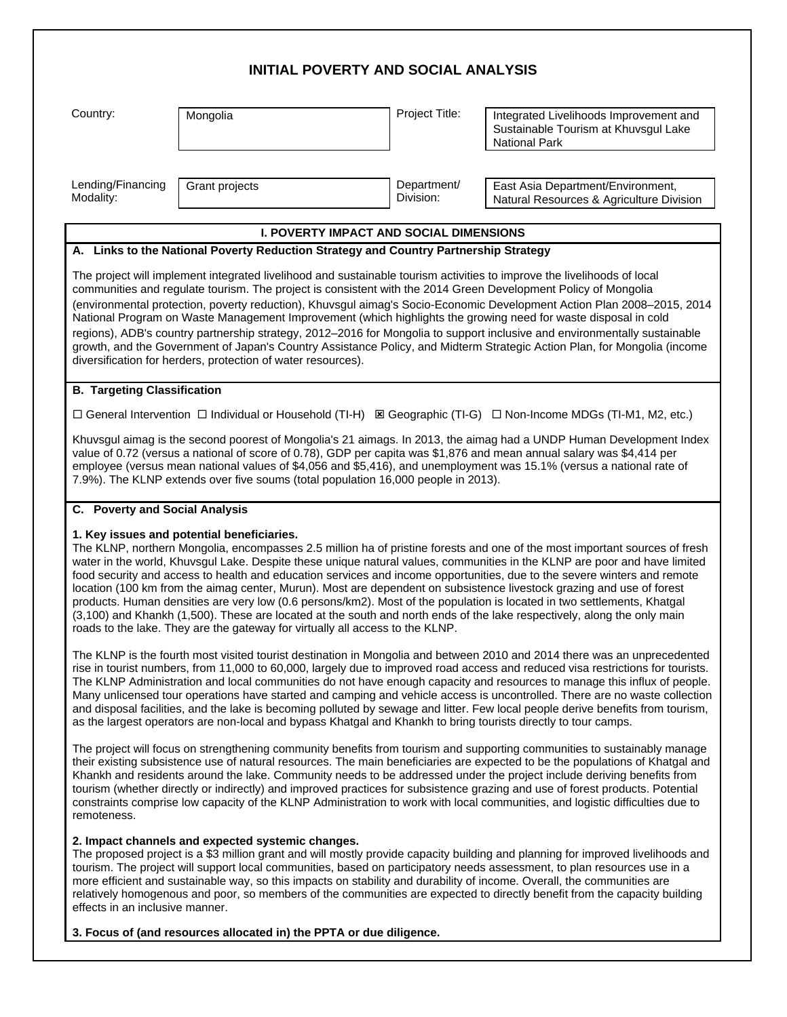# **INITIAL POVERTY AND SOCIAL ANALYSIS** Country: Mongolia Project Title: Integrated Livelihoods Improvement and Sustainable Tourism at Khuvsgul Lake National Park Lending/Financing Modality: Grant projects **Department** Division: East Asia Department/Environment, Natural Resources & Agriculture Division **I. POVERTY IMPACT AND SOCIAL DIMENSIONS A. Links to the National Poverty Reduction Strategy and Country Partnership Strategy** The project will implement integrated livelihood and sustainable tourism activities to improve the livelihoods of local communities and regulate tourism. The project is consistent with the 2014 Green Development Policy of Mongolia (environmental protection, poverty reduction), Khuvsgul aimag's Socio-Economic Development Action Plan 2008–2015, 2014 National Program on Waste Management Improvement (which highlights the growing need for waste disposal in cold regions), ADB's country partnership strategy, 2012–2016 for Mongolia to support inclusive and environmentally sustainable growth, and the Government of Japan's Country Assistance Policy, and Midterm Strategic Action Plan, for Mongolia (income diversification for herders, protection of water resources). **B. Targeting Classification** □ General Intervention □ Individual or Household (TI-H) ⊠ Geographic (TI-G) □ Non-Income MDGs (TI-M1, M2, etc.) Khuvsgul aimag is the second poorest of Mongolia's 21 aimags. In 2013, the aimag had a UNDP Human Development Index value of 0.72 (versus a national of score of 0.78), GDP per capita was \$1,876 and mean annual salary was \$4,414 per employee (versus mean national values of \$4,056 and \$5,416), and unemployment was 15.1% (versus a national rate of 7.9%). The KLNP extends over five soums (total population 16,000 people in 2013). **C. Poverty and Social Analysis 1. Key issues and potential beneficiaries.**  The KLNP, northern Mongolia, encompasses 2.5 million ha of pristine forests and one of the most important sources of fresh water in the world, Khuvsgul Lake. Despite these unique natural values, communities in the KLNP are poor and have limited food security and access to health and education services and income opportunities, due to the severe winters and remote location (100 km from the aimag center, Murun). Most are dependent on subsistence livestock grazing and use of forest products. Human densities are very low (0.6 persons/km2). Most of the population is located in two settlements, Khatgal (3,100) and Khankh (1,500). These are located at the south and north ends of the lake respectively, along the only main roads to the lake. They are the gateway for virtually all access to the KLNP. The KLNP is the fourth most visited tourist destination in Mongolia and between 2010 and 2014 there was an unprecedented rise in tourist numbers, from 11,000 to 60,000, largely due to improved road access and reduced visa restrictions for tourists. The KLNP Administration and local communities do not have enough capacity and resources to manage this influx of people. Many unlicensed tour operations have started and camping and vehicle access is uncontrolled. There are no waste collection and disposal facilities, and the lake is becoming polluted by sewage and litter. Few local people derive benefits from tourism, as the largest operators are non-local and bypass Khatgal and Khankh to bring tourists directly to tour camps. The project will focus on strengthening community benefits from tourism and supporting communities to sustainably manage their existing subsistence use of natural resources. The main beneficiaries are expected to be the populations of Khatgal and Khankh and residents around the lake. Community needs to be addressed under the project include deriving benefits from tourism (whether directly or indirectly) and improved practices for subsistence grazing and use of forest products. Potential constraints comprise low capacity of the KLNP Administration to work with local communities, and logistic difficulties due to remoteness. **2. Impact channels and expected systemic changes.** The proposed project is a \$3 million grant and will mostly provide capacity building and planning for improved livelihoods and tourism. The project will support local communities, based on participatory needs assessment, to plan resources use in a more efficient and sustainable way, so this impacts on stability and durability of income. Overall, the communities are relatively homogenous and poor, so members of the communities are expected to directly benefit from the capacity building effects in an inclusive manner.

**3. Focus of (and resources allocated in) the PPTA or due diligence.**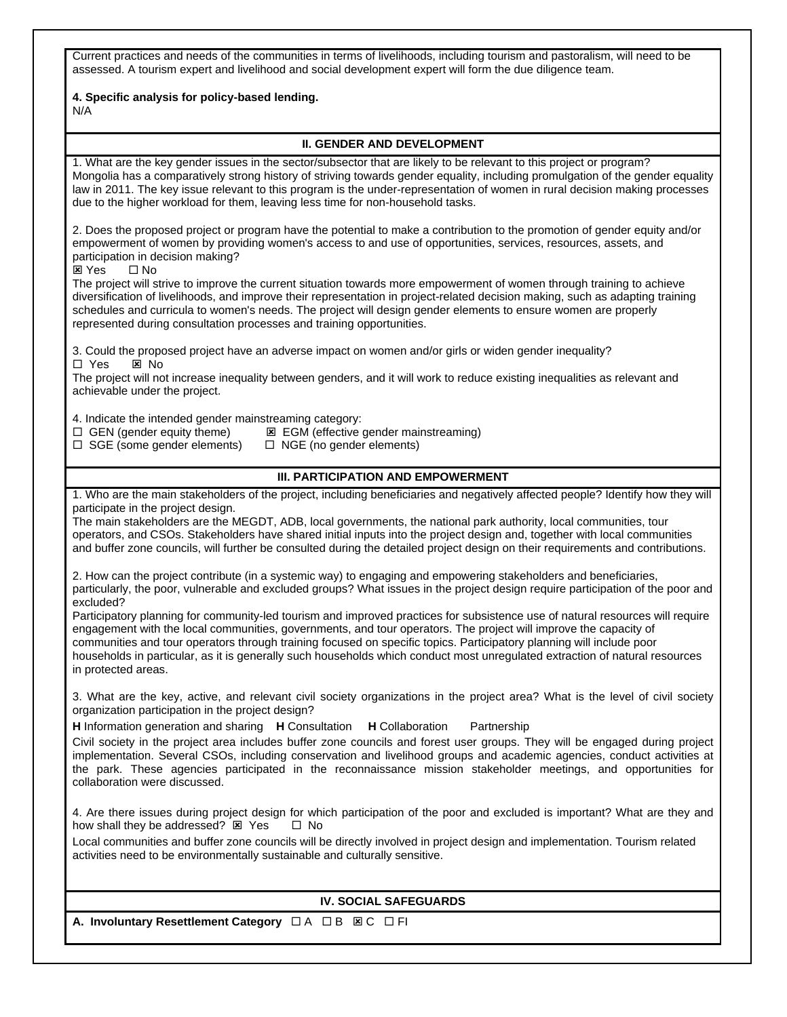Current practices and needs of the communities in terms of livelihoods, including tourism and pastoralism, will need to be assessed. A tourism expert and livelihood and social development expert will form the due diligence team.

#### **4. Specific analysis for policy-based lending.** N/A

### **II. GENDER AND DEVELOPMENT**

1. What are the key gender issues in the sector/subsector that are likely to be relevant to this project or program? Mongolia has a comparatively strong history of striving towards gender equality, including promulgation of the gender equality law in 2011. The key issue relevant to this program is the under-representation of women in rural decision making processes due to the higher workload for them, leaving less time for non-household tasks.

2. Does the proposed project or program have the potential to make a contribution to the promotion of gender equity and/or empowerment of women by providing women's access to and use of opportunities, services, resources, assets, and participation in decision making?

⊠ Yes □ No

The project will strive to improve the current situation towards more empowerment of women through training to achieve diversification of livelihoods, and improve their representation in project-related decision making, such as adapting training schedules and curricula to women's needs. The project will design gender elements to ensure women are properly represented during consultation processes and training opportunities.

3. Could the proposed project have an adverse impact on women and/or girls or widen gender inequality? □ Yes ⊠ No

The project will not increase inequality between genders, and it will work to reduce existing inequalities as relevant and achievable under the project.

4. Indicate the intended gender mainstreaming category:

- $\square$  GEN (gender equity theme)  $\square$  EGM (effective gender mainstreaming)
- $\Box$  SGE (some gender elements)  $\Box$  NGE (no gender elements)
	-

## **III. PARTICIPATION AND EMPOWERMENT**

1. Who are the main stakeholders of the project, including beneficiaries and negatively affected people? Identify how they will participate in the project design.

The main stakeholders are the MEGDT, ADB, local governments, the national park authority, local communities, tour operators, and CSOs. Stakeholders have shared initial inputs into the project design and, together with local communities and buffer zone councils, will further be consulted during the detailed project design on their requirements and contributions.

2. How can the project contribute (in a systemic way) to engaging and empowering stakeholders and beneficiaries, particularly, the poor, vulnerable and excluded groups? What issues in the project design require participation of the poor and excluded?

Participatory planning for community-led tourism and improved practices for subsistence use of natural resources will require engagement with the local communities, governments, and tour operators. The project will improve the capacity of communities and tour operators through training focused on specific topics. Participatory planning will include poor households in particular, as it is generally such households which conduct most unregulated extraction of natural resources in protected areas.

3. What are the key, active, and relevant civil society organizations in the project area? What is the level of civil society organization participation in the project design?

**H** Information generation and sharing **H** Consultation **H** Collaboration Partnership

Civil society in the project area includes buffer zone councils and forest user groups. They will be engaged during project implementation. Several CSOs, including conservation and livelihood groups and academic agencies, conduct activities at the park. These agencies participated in the reconnaissance mission stakeholder meetings, and opportunities for collaboration were discussed.

4. Are there issues during project design for which participation of the poor and excluded is important? What are they and how shall they be addressed?  $\boxtimes$  Yes  $\Box$  No

Local communities and buffer zone councils will be directly involved in project design and implementation. Tourism related activities need to be environmentally sustainable and culturally sensitive.

## **IV. SOCIAL SAFEGUARDS**

**A. Involuntary Resettlement Category** □ A □ B ⊠ C □ FI